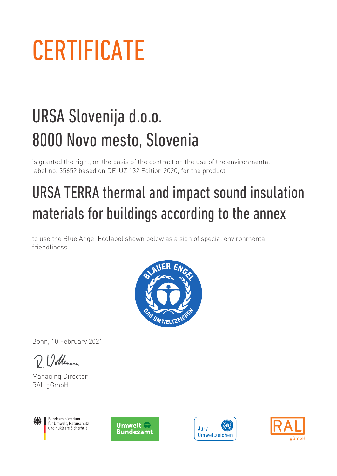## **CERTIFICATE**

## URSA Slovenija d.o.o. 8000 Novo mesto, Slovenia

is granted the right, on the basis of the contract on the use of the environmental label no. 35652 based on DE-UZ 132 Edition 2020, for the product

## URSA TERRA thermal and impact sound insulation materials for buildings according to the annex

to use the Blue Angel Ecolabel shown below as a sign of special environmental friendliness.



Bonn, 10 February 2021

D 12 dleman

Managing Director RAL gGmbH



Bundesministerium für Umwelt, Naturschutz und nukleare Sicherheit